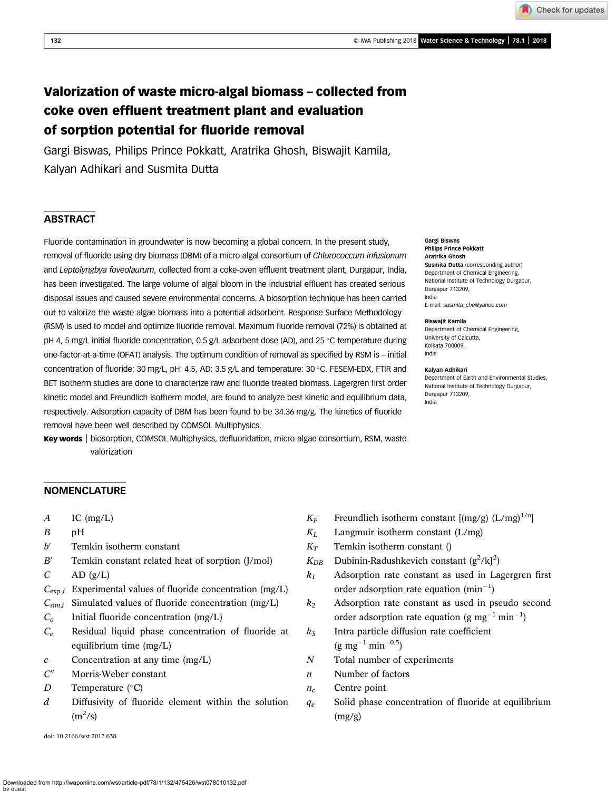132 **CONSERVERT 2018 CONSERVERT 2018 CONSERVERT 2018 CONSERVERT 2018 CONSERVERT 2018 CONSERVERT 2018 CONSERVERT 2018** 

Check for updates

# Valorization of waste micro-algal biomass – collected from coke oven effluent treatment plant and evaluation of sorption potential for fluoride removal

Gargi Biswas, Philips Prince Pokkatt, Aratrika Ghosh, Biswajit Kamila, Kalyan Adhikari and Susmita Dutta

# **ABSTRACT**

Fluoride contamination in groundwater is now becoming a global concern. In the present study, removal of fluoride using dry biomass (DBM) of a micro-algal consortium of Chlorococcum infusionum and Leptolyngbya foveolaurum, collected from a coke-oven effluent treatment plant, Durgapur, India, has been investigated. The large volume of algal bloom in the industrial effluent has created serious disposal issues and caused severe environmental concerns. A biosorption technique has been carried out to valorize the waste algae biomass into a potential adsorbent. Response Surface Methodology (RSM) is used to model and optimize fluoride removal. Maximum fluoride removal (72%) is obtained at pH 4, 5 mg/L initial fluoride concentration, 0.5 g/L adsorbent dose (AD), and 25 °C temperature during one-factor-at-a-time (OFAT) analysis. The optimum condition of removal as specified by RSM is – initial concentration of fluoride: 30 mg/L, pH: 4.5, AD: 3.5 g/L and temperature: 30 °C. FESEM-EDX, FTIR and BET isotherm studies are done to characterize raw and fluoride treated biomass. Lagergren first order kinetic model and Freundlich isotherm model, are found to analyze best kinetic and equilibrium data, respectively. Adsorption capacity of DBM has been found to be 34.36 mg/g. The kinetics of fluoride removal have been well described by COMSOL Multiphysics.

Key words | biosorption, COMSOL Multiphysics, defluoridation, micro-algae consortium, RSM, waste valorization

#### Gargi Biswas Philips Prince Pokkatt Aratrika Ghosh Susmita Dutta (corresponding author) Department of Chemical Engineering, National Institute of Technology Durgapur, Durgapur 713209, India

E-mail: [susmita\\_che@yahoo.com](mailto:susmita_che@yahoo.com)

#### Biswajit Kamila

Department of Chemical Engineering, University of Calcutta, Kolkata 700009, India

#### Kalyan Adhikari

Department of Earth and Environmental Studies, National Institute of Technology Durgapur, Durgapur 713209, India

#### **NOMENCLATURE**

- $A$  IC (mg/L)
- B pH
- $b'$  Temkin isotherm constant
- $B'$  Temkin constant related heat of sorption (J/mol)
- $C$  AD  $(g/L)$
- $C_{\exp,i}$  Experimental values of fluoride concentration (mg/L)
- $C_{sim,i}$  Simulated values of fluoride concentration (mg/L)
- $C_0$  Initial fluoride concentration (mg/L)
- $C_e$  Residual liquid phase concentration of fluoride at equilibrium time (mg/L)
- $c$  Concentration at any time  $(mg/L)$
- $C''$  Morris-Weber constant
- D Temperature  $(^{\circ}C)$
- d Diffusivity of fluoride element within the solution  $(m^2/s)$

doi: 10.2166/wst.2017.638

- $K_F$  Freundlich isotherm constant  $\left[\frac{mg}{g}\right] (L/mg)^{1/n}$
- $K_L$  Langmuir isotherm constant (L/mg)
- $K<sub>T</sub>$  Temkin isotherm constant ()
- $K_{DB}$  Dubinin-Radushkevich constant (g<sup>2</sup>/kJ<sup>2</sup>)
- $k_1$  Adsorption rate constant as used in Lagergren first order adsorption rate equation  $(min^{-1})$
- $k_2$  Adsorption rate constant as used in pseudo second order adsorption rate equation (g mg<sup>-1</sup> min<sup>-1</sup>)
- $k_3$  Intra particle diffusion rate coefficient  $(g \text{ mg}^{-1} \text{min}^{-0.5})$
- N Total number of experiments
- n Number of factors
- $n_c$  Centre point
- $q_e$  Solid phase concentration of fluoride at equilibrium  $(mg/g)$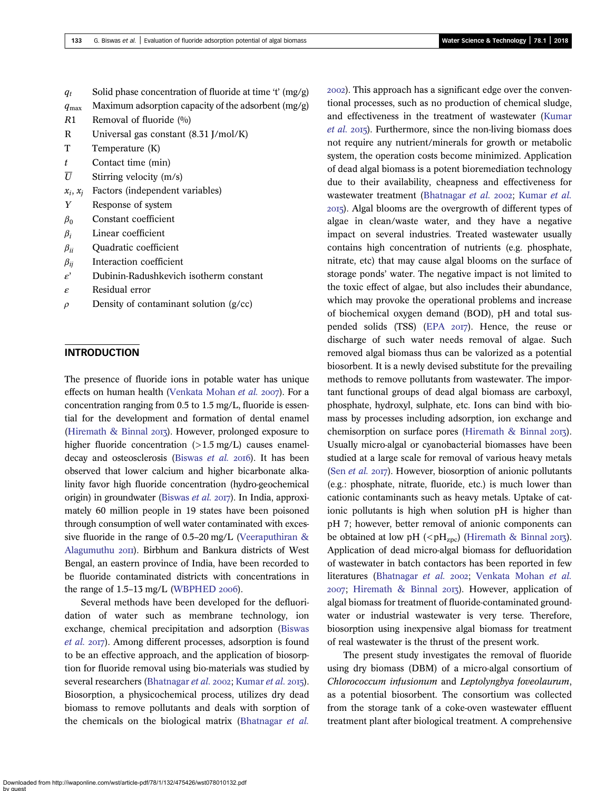$q_t$  Solid phase concentration of fluoride at time 't' (mg/g)

- $q_{\text{max}}$  Maximum adsorption capacity of the adsorbent (mg/g)
- $R1$  Removal of fluoride  $(0/0)$
- R Universal gas constant (8.31 J/mol/K)
- T Temperature (K)
- $t$  Contact time (min)
- $\overline{U}$  Stirring velocity (m/s)
- $x_i$ ,  $x_i$  Factors (independent variables)
- Y Response of system
- $\beta_0$  Constant coefficient
- $\beta_i$  Linear coefficient
- $\beta_{ii}$  Quadratic coefficient
- $\beta_{ij}$  Interaction coefficient
- $\varepsilon'$  Dubinin-Radushkevich isotherm constant
- ε Residual error
- $\rho$  Density of contaminant solution (g/cc)

# **INTRODUCTION**

The presence of fluoride ions in potable water has unique effects on human health ([Venkata Mohan](#page-14-0) et al. 2007). For a concentration ranging from 0.5 to 1.5 mg/L, fluoride is essential for the development and formation of dental enamel (Hiremath  $\&$  Binnal 2013). However, prolonged exposure to higher fluoride concentration  $(>1.5 \text{ mg/L})$  causes enamel-decay and osteosclerosis [\(Biswas](#page-13-0) et al. 2016). It has been observed that lower calcium and higher bicarbonate alkalinity favor high fluoride concentration (hydro-geochemical origin) in groundwater ([Biswas](#page-13-0) et al. 2017). In India, approximately 60 million people in 19 states have been poisoned through consumption of well water contaminated with excessive fluoride in the range of 0.5–20 mg/L [\(Veeraputhiran &](#page-14-0) [Alagumuthu](#page-14-0) 2011). Birbhum and Bankura districts of West Bengal, an eastern province of India, have been recorded to be fluoride contaminated districts with concentrations in the range of  $1.5-13$  mg/L ([WBPHED](#page-14-0) 2006).

Several methods have been developed for the defluoridation of water such as membrane technology, ion exchange, chemical precipitation and adsorption ([Biswas](#page-13-0) [et al.](#page-13-0) 2017). Among different processes, adsorption is found to be an effective approach, and the application of biosorption for fluoride removal using bio-materials was studied by several researchers [\(Bhatnagar](#page-13-0) et al. 2002; [Kumar](#page-13-0) et al. 2015). Biosorption, a physicochemical process, utilizes dry dead biomass to remove pollutants and deals with sorption of the chemicals on the biological matrix ([Bhatnagar](#page-13-0) et al.

). This approach has a significant edge over the conventional processes, such as no production of chemical sludge, and effectiveness in the treatment of wastewater ([Kumar](#page-13-0) [et al.](#page-13-0) 2015). Furthermore, since the non-living biomass does not require any nutrient/minerals for growth or metabolic system, the operation costs become minimized. Application of dead algal biomass is a potent bioremediation technology due to their availability, cheapness and effectiveness for wastewater treatment [\(Bhatnagar](#page-13-0) et al. 2002; [Kumar](#page-13-0) et al. ). Algal blooms are the overgrowth of different types of algae in clean/waste water, and they have a negative impact on several industries. Treated wastewater usually contains high concentration of nutrients (e.g. phosphate, nitrate, etc) that may cause algal blooms on the surface of storage ponds' water. The negative impact is not limited to the toxic effect of algae, but also includes their abundance, which may provoke the operational problems and increase of biochemical oxygen demand (BOD), pH and total sus-pended solids (TSS) ([EPA](#page-13-0) 2017). Hence, the reuse or discharge of such water needs removal of algae. Such removed algal biomass thus can be valorized as a potential biosorbent. It is a newly devised substitute for the prevailing methods to remove pollutants from wastewater. The important functional groups of dead algal biomass are carboxyl, phosphate, hydroxyl, sulphate, etc. Ions can bind with biomass by processes including adsorption, ion exchange and chemisorption on surface pores [\(Hiremath & Binnal](#page-13-0)  $2017$ ). Usually micro-algal or cyanobacterial biomasses have been studied at a large scale for removal of various heavy metals (Sen [et al.](#page-14-0) 2017). However, biosorption of anionic pollutants (e.g.: phosphate, nitrate, fluoride, etc.) is much lower than cationic contaminants such as heavy metals. Uptake of cationic pollutants is high when solution pH is higher than pH 7; however, better removal of anionic components can be obtained at low pH (<pH<sub>zpc</sub>) ([Hiremath & Binnal](#page-13-0) 2013). Application of dead micro-algal biomass for defluoridation of wastewater in batch contactors has been reported in few literatures [\(Bhatnagar](#page-13-0) et al. 2002; [Venkata Mohan](#page-14-0) et al.  $2007$ ; [Hiremath & Binnal](#page-13-0)  $2017$ ). However, application of algal biomass for treatment of fluoride-contaminated groundwater or industrial wastewater is very terse. Therefore, biosorption using inexpensive algal biomass for treatment of real wastewater is the thrust of the present work.

The present study investigates the removal of fluoride using dry biomass (DBM) of a micro-algal consortium of Chlorococcum infusionum and Leptolyngbya foveolaurum, as a potential biosorbent. The consortium was collected from the storage tank of a coke-oven wastewater effluent treatment plant after biological treatment. A comprehensive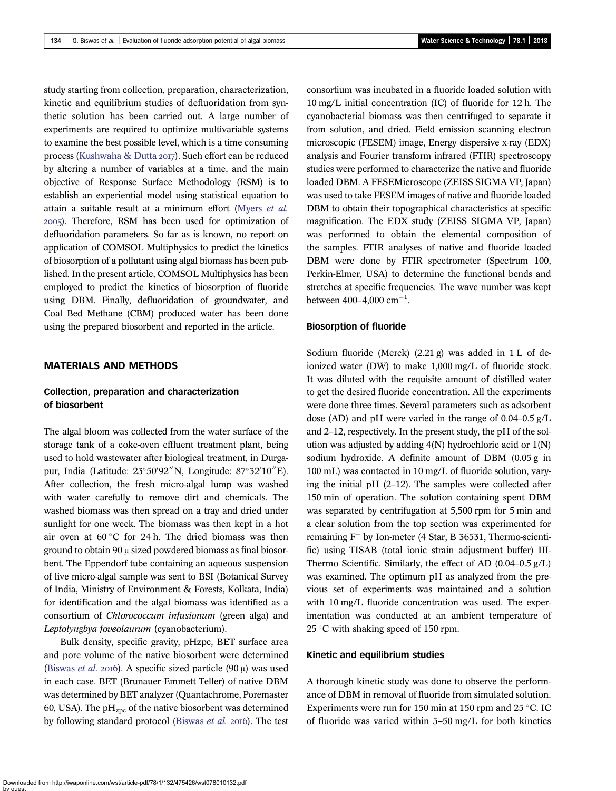study starting from collection, preparation, characterization, kinetic and equilibrium studies of defluoridation from synthetic solution has been carried out. A large number of experiments are required to optimize multivariable systems to examine the best possible level, which is a time consuming process [\(Kushwaha & Dutta](#page-13-0) 2017). Such effort can be reduced by altering a number of variables at a time, and the main objective of Response Surface Methodology (RSM) is to establish an experiential model using statistical equation to attain a suitable result at a minimum effort [\(Myers](#page-14-0) et al. ). Therefore, RSM has been used for optimization of defluoridation parameters. So far as is known, no report on application of COMSOL Multiphysics to predict the kinetics of biosorption of a pollutant using algal biomass has been published. In the present article, COMSOL Multiphysics has been employed to predict the kinetics of biosorption of fluoride using DBM. Finally, defluoridation of groundwater, and Coal Bed Methane (CBM) produced water has been done using the prepared biosorbent and reported in the article.

# MATERIALS AND METHODS

#### Collection, preparation and characterization of biosorbent

The algal bloom was collected from the water surface of the storage tank of a coke-oven effluent treatment plant, being used to hold wastewater after biological treatment, in Durgapur, India (Latitude: 23°50'92"N, Longitude: 87°32'10"E). After collection, the fresh micro-algal lump was washed with water carefully to remove dirt and chemicals. The washed biomass was then spread on a tray and dried under sunlight for one week. The biomass was then kept in a hot air oven at  $60^{\circ}$ C for 24 h. The dried biomass was then ground to obtain 90 μ sized powdered biomass as final biosorbent. The Eppendorf tube containing an aqueous suspension of live micro-algal sample was sent to BSI (Botanical Survey of India, Ministry of Environment & Forests, Kolkata, India) for identification and the algal biomass was identified as a consortium of Chlorococcum infusionum (green alga) and Leptolyngbya foveolaurum (cyanobacterium).

Bulk density, specific gravity, pHzpc, BET surface area and pore volume of the native biosorbent were determined [\(Biswas](#page-13-0) et al. 2016). A specific sized particle  $(90 \mu)$  was used in each case. BET (Brunauer Emmett Teller) of native DBM was determined by BET analyzer (Quantachrome, Poremaster 60, USA). The  $pH<sub>zpc</sub>$  of the native biosorbent was determined by following standard protocol [\(Biswas](#page-13-0) et al. 2016). The test consortium was incubated in a fluoride loaded solution with 10 mg/L initial concentration (IC) of fluoride for 12 h. The cyanobacterial biomass was then centrifuged to separate it from solution, and dried. Field emission scanning electron microscopic (FESEM) image, Energy dispersive x-ray (EDX) analysis and Fourier transform infrared (FTIR) spectroscopy studies were performed to characterize the native and fluoride loaded DBM. A FESEMicroscope (ZEISS SIGMA VP, Japan) was used to take FESEM images of native and fluoride loaded DBM to obtain their topographical characteristics at specific magnification. The EDX study (ZEISS SIGMA VP, Japan) was performed to obtain the elemental composition of the samples. FTIR analyses of native and fluoride loaded DBM were done by FTIR spectrometer (Spectrum 100, Perkin-Elmer, USA) to determine the functional bends and stretches at specific frequencies. The wave number was kept between  $400 - 4,000$  cm<sup>-1</sup>.

#### Biosorption of fluoride

Sodium fluoride (Merck) (2.21 g) was added in 1 L of deionized water (DW) to make 1,000 mg/L of fluoride stock. It was diluted with the requisite amount of distilled water to get the desired fluoride concentration. All the experiments were done three times. Several parameters such as adsorbent dose (AD) and pH were varied in the range of 0.04–0.5 g/L and 2–12, respectively. In the present study, the pH of the solution was adjusted by adding 4(N) hydrochloric acid or 1(N) sodium hydroxide. A definite amount of DBM (0.05 g in 100 mL) was contacted in 10 mg/L of fluoride solution, varying the initial pH (2–12). The samples were collected after 150 min of operation. The solution containing spent DBM was separated by centrifugation at 5,500 rpm for 5 min and a clear solution from the top section was experimented for remaining  $F^-$  by Ion-meter (4 Star, B 36531, Thermo-scientific) using TISAB (total ionic strain adjustment buffer) III-Thermo Scientific. Similarly, the effect of AD (0.04–0.5 g/L) was examined. The optimum pH as analyzed from the previous set of experiments was maintained and a solution with 10 mg/L fluoride concentration was used. The experimentation was conducted at an ambient temperature of 25 °C with shaking speed of 150 rpm.

#### Kinetic and equilibrium studies

A thorough kinetic study was done to observe the performance of DBM in removal of fluoride from simulated solution. Experiments were run for 150 min at 150 rpm and 25 °C. IC of fluoride was varied within 5–50 mg/L for both kinetics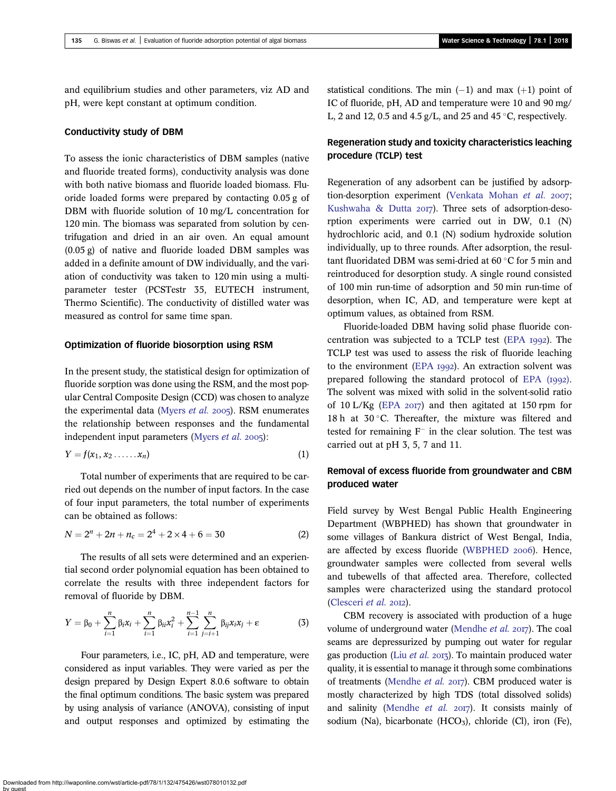and equilibrium studies and other parameters, viz AD and pH, were kept constant at optimum condition.

#### Conductivity study of DBM

To assess the ionic characteristics of DBM samples (native and fluoride treated forms), conductivity analysis was done with both native biomass and fluoride loaded biomass. Fluoride loaded forms were prepared by contacting 0.05 g of DBM with fluoride solution of 10 mg/L concentration for 120 min. The biomass was separated from solution by centrifugation and dried in an air oven. An equal amount (0.05 g) of native and fluoride loaded DBM samples was added in a definite amount of DW individually, and the variation of conductivity was taken to 120 min using a multiparameter tester (PCSTestr 35, EUTECH instrument, Thermo Scientific). The conductivity of distilled water was measured as control for same time span.

#### Optimization of fluoride biosorption using RSM

In the present study, the statistical design for optimization of fluoride sorption was done using the RSM, and the most popular Central Composite Design (CCD) was chosen to analyze the experimental data ([Myers](#page-14-0) *et al.* 2005). RSM enumerates the relationship between responses and the fundamental independent input parameters ([Myers](#page-14-0) *et al.*  $2005$ ):

$$
Y = f(x_1, x_2 \ldots x_n) \tag{1}
$$

Total number of experiments that are required to be carried out depends on the number of input factors. In the case of four input parameters, the total number of experiments can be obtained as follows:

$$
N = 2n + 2n + nc = 24 + 2 \times 4 + 6 = 30
$$
 (2)

The results of all sets were determined and an experiential second order polynomial equation has been obtained to correlate the results with three independent factors for removal of fluoride by DBM.

$$
Y = \beta_0 + \sum_{i=1}^n \beta_i x_i + \sum_{i=1}^n \beta_{ii} x_i^2 + \sum_{i=1}^{n-1} \sum_{j=i+1}^n \beta_{ij} x_i x_j + \varepsilon
$$
 (3)

Four parameters, i.e., IC, pH, AD and temperature, were considered as input variables. They were varied as per the design prepared by Design Expert 8.0.6 software to obtain the final optimum conditions. The basic system was prepared by using analysis of variance (ANOVA), consisting of input and output responses and optimized by estimating the statistical conditions. The min  $(-1)$  and max  $(+1)$  point of IC of fluoride, pH, AD and temperature were 10 and 90 mg/ L, 2 and 12, 0.5 and 4.5 g/L, and 25 and 45  $\degree$ C, respectively.

# Regeneration study and toxicity characteristics leaching procedure (TCLP) test

Regeneration of any adsorbent can be justified by adsorp-tion-desorption experiment ([Venkata Mohan](#page-14-0) et al. 2007; [Kushwaha & Dutta](#page-13-0) 2017). Three sets of adsorption-desorption experiments were carried out in DW, 0.1 (N) hydrochloric acid, and 0.1 (N) sodium hydroxide solution individually, up to three rounds. After adsorption, the resultant fluoridated DBM was semi-dried at  $60^{\circ}$ C for 5 min and reintroduced for desorption study. A single round consisted of 100 min run-time of adsorption and 50 min run-time of desorption, when IC, AD, and temperature were kept at optimum values, as obtained from RSM.

Fluoride-loaded DBM having solid phase fluoride con-centration was subjected to a TCLP test ([EPA](#page-13-0)  $1992$ ). The TCLP test was used to assess the risk of fluoride leaching to the environment ([EPA](#page-13-0)  $1992$ ). An extraction solvent was prepared following the standard protocol of  $EPA$  ( $I992$ ). The solvent was mixed with solid in the solvent-solid ratio of 10 L/Kg ([EPA](#page-13-0)  $2017$ ) and then agitated at 150 rpm for 18 h at  $30^{\circ}$ C. Thereafter, the mixture was filtered and tested for remaining  $F^-$  in the clear solution. The test was carried out at pH 3, 5, 7 and 11.

#### Removal of excess fluoride from groundwater and CBM produced water

Field survey by West Bengal Public Health Engineering Department (WBPHED) has shown that groundwater in some villages of Bankura district of West Bengal, India, are affected by excess fluoride ([WBPHED](#page-14-0) 2006). Hence, groundwater samples were collected from several wells and tubewells of that affected area. Therefore, collected samples were characterized using the standard protocol [\(Clesceri](#page-13-0) et al. 2012).

CBM recovery is associated with production of a huge volume of underground water [\(Mendhe](#page-13-0) et al. 2017). The coal seams are depressurized by pumping out water for regular gas production (Liu [et al.](#page-13-0)  $2017$ ). To maintain produced water quality, it is essential to manage it through some combinations of treatments ([Mendhe](#page-13-0) et al. 2017). CBM produced water is mostly characterized by high TDS (total dissolved solids) and salinity [\(Mendhe](#page-13-0) et al.  $20I7$ ). It consists mainly of sodium (Na), bicarbonate  $(HCO<sub>3</sub>)$ , chloride (Cl), iron (Fe),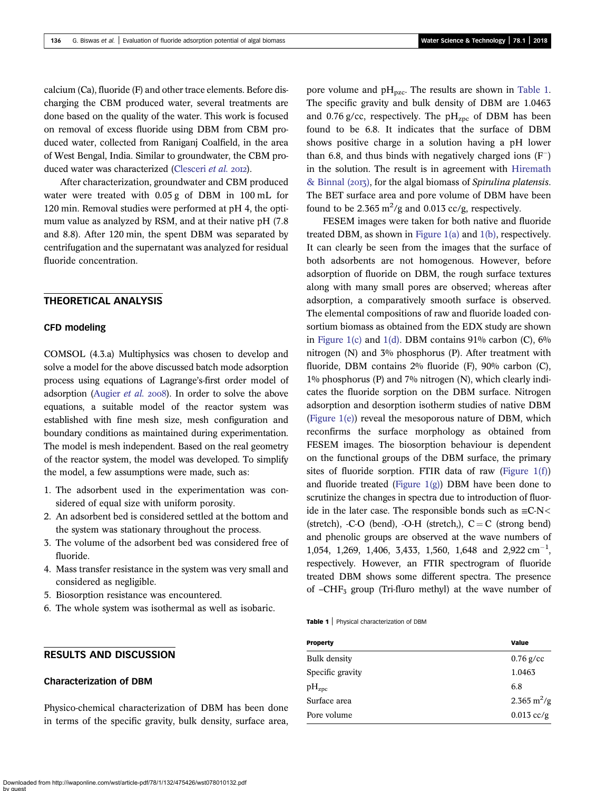calcium (Ca), fluoride (F) and other trace elements. Before discharging the CBM produced water, several treatments are done based on the quality of the water. This work is focused on removal of excess fluoride using DBM from CBM produced water, collected from Raniganj Coalfield, in the area of West Bengal, India. Similar to groundwater, the CBM pro-duced water was characterized [\(Clesceri](#page-13-0) et al. 2012).

After characterization, groundwater and CBM produced water were treated with 0.05 g of DBM in 100 mL for 120 min. Removal studies were performed at pH 4, the optimum value as analyzed by RSM, and at their native pH (7.8 and 8.8). After 120 min, the spent DBM was separated by centrifugation and the supernatant was analyzed for residual fluoride concentration.

# THEORETICAL ANALYSIS

#### CFD modeling

COMSOL (4.3.a) Multiphysics was chosen to develop and solve a model for the above discussed batch mode adsorption process using equations of Lagrange's-first order model of adsorption ([Augier](#page-13-0) et al. 2008). In order to solve the above equations, a suitable model of the reactor system was established with fine mesh size, mesh configuration and boundary conditions as maintained during experimentation. The model is mesh independent. Based on the real geometry of the reactor system, the model was developed. To simplify the model, a few assumptions were made, such as:

- 1. The adsorbent used in the experimentation was considered of equal size with uniform porosity.
- 2. An adsorbent bed is considered settled at the bottom and the system was stationary throughout the process.
- 3. The volume of the adsorbent bed was considered free of fluoride.
- 4. Mass transfer resistance in the system was very small and considered as negligible.
- 5. Biosorption resistance was encountered.
- 6. The whole system was isothermal as well as isobaric.

#### RESULTS AND DISCUSSION

#### Characterization of DBM

Physico-chemical characterization of DBM has been done in terms of the specific gravity, bulk density, surface area,

pore volume and pH<sub>pzc</sub>. The results are shown in Table 1. The specific gravity and bulk density of DBM are 1.0463 and 0.76 g/cc, respectively. The  $pH<sub>zpc</sub>$  of DBM has been found to be 6.8. It indicates that the surface of DBM shows positive charge in a solution having a pH lower than 6.8, and thus binds with negatively charged ions  $(F)$ in the solution. The result is in agreement with [Hiremath](#page-13-0) [& Binnal \(](#page-13-0) $20I$ ), for the algal biomass of Spirulina platensis. The BET surface area and pore volume of DBM have been found to be 2.365  $\text{m}^2/\text{g}$  and 0.013 cc/g, respectively.

FESEM images were taken for both native and fluoride treated DBM, as shown in [Figure 1\(a\)](#page-5-0) and [1\(b\)](#page-5-0), respectively. It can clearly be seen from the images that the surface of both adsorbents are not homogenous. However, before adsorption of fluoride on DBM, the rough surface textures along with many small pores are observed; whereas after adsorption, a comparatively smooth surface is observed. The elemental compositions of raw and fluoride loaded consortium biomass as obtained from the EDX study are shown in [Figure 1\(c\)](#page-5-0) and [1\(d\).](#page-5-0) DBM contains  $91\%$  carbon (C),  $6\%$ nitrogen (N) and 3% phosphorus (P). After treatment with fluoride, DBM contains 2% fluoride (F), 90% carbon (C), 1% phosphorus (P) and 7% nitrogen (N), which clearly indicates the fluoride sorption on the DBM surface. Nitrogen adsorption and desorption isotherm studies of native DBM ([Figure 1\(e\)\)](#page-5-0) reveal the mesoporous nature of DBM, which reconfirms the surface morphology as obtained from FESEM images. The biosorption behaviour is dependent on the functional groups of the DBM surface, the primary sites of fluoride sorption. FTIR data of raw (Figure  $1(f)$ ) and fluoride treated (Figure  $1(g)$ ) DBM have been done to scrutinize the changes in spectra due to introduction of fluoride in the later case. The responsible bonds such as  $\equiv$ C-N< (stretch), -C-O (bend), -O-H (stretch,),  $C = C$  (strong bend) and phenolic groups are observed at the wave numbers of 1,054, 1,269, 1,406, 3,433, 1,560, 1,648 and 2,922 cm<sup>-1</sup>, respectively. However, an FTIR spectrogram of fluoride treated DBM shows some different spectra. The presence of  $-CHF_3$  group (Tri-fluro methyl) at the wave number of

Table 1 | Physical characterization of DBM

| <b>Property</b>     | Value                        |
|---------------------|------------------------------|
| <b>Bulk</b> density | $0.76$ g/cc                  |
| Specific gravity    | 1.0463                       |
| $\rm pH_{zpc}$      | 6.8                          |
| Surface area        | $2.365 \text{ m}^2/\text{g}$ |
| Pore volume         | $0.013$ cc/g                 |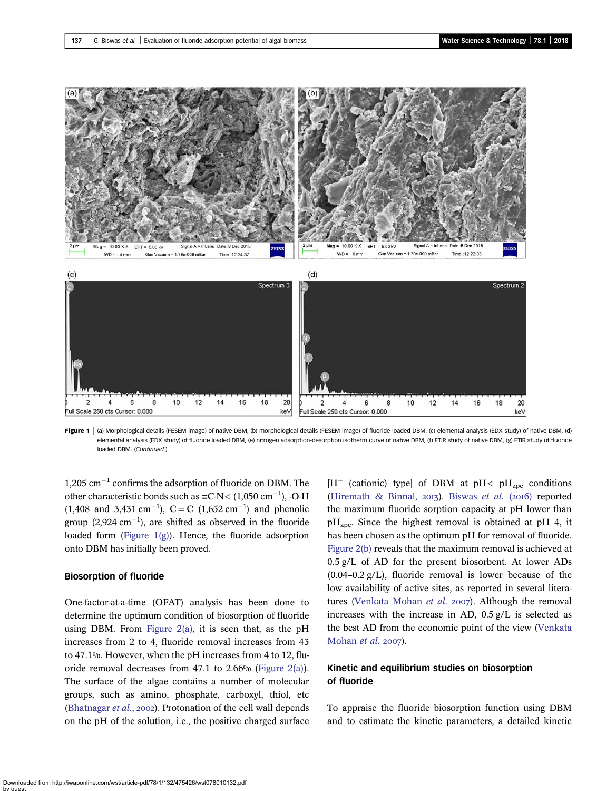<span id="page-5-0"></span>

Figure 1 | (a) Morphological details (FESEM image) of native DBM, (b) morphological details (FESEM image) of fluoride loaded DBM, (c) elemental analysis (EDX study) of native DBM, (d) elemental analysis (EDX study) of fluoride loaded DBM, (e) nitrogen adsorption-desorption isotherm curve of native DBM, (f) FTIR study of native DBM, (g) FTIR study of fluoride loaded DBM. (Continued.)

 $1,205$  cm<sup>-1</sup> confirms the adsorption of fluoride on DBM. The other characteristic bonds such as  $\equiv$ C-N < (1,050 cm<sup>-1</sup>), -O-H  $(1,408 \text{ and } 3,431 \text{ cm}^{-1}), C = C (1,652 \text{ cm}^{-1})$  and phenolic group  $(2,924 \text{ cm}^{-1})$ , are shifted as observed in the fluoride loaded form (Figure  $1(g)$ ). Hence, the fluoride adsorption onto DBM has initially been proved.

#### Biosorption of fluoride

One-factor-at-a-time (OFAT) analysis has been done to determine the optimum condition of biosorption of fluoride using DBM. From Figure  $2(a)$ , it is seen that, as the pH increases from 2 to 4, fluoride removal increases from 43 to 47.1%. However, when the pH increases from 4 to 12, fluoride removal decreases from 47.1 to 2.66% ([Figure 2\(a\)\)](#page-7-0). The surface of the algae contains a number of molecular groups, such as amino, phosphate, carboxyl, thiol, etc [\(Bhatnagar](#page-13-0)  $et$   $al$ , 2002). Protonation of the cell wall depends on the pH of the solution, i.e., the positive charged surface

 $[H^+$  (cationic) type] of DBM at pH< pH<sub>zpc</sub> conditions [\(Hiremath & Binnal,](#page-13-0) 2013). [Biswas](#page-13-0) et al. (2016) reported the maximum fluoride sorption capacity at pH lower than  $pH<sub>zpc</sub>$ . Since the highest removal is obtained at pH 4, it has been chosen as the optimum pH for removal of fluoride. [Figure 2\(b\)](#page-7-0) reveals that the maximum removal is achieved at 0.5 g/L of AD for the present biosorbent. At lower ADs  $(0.04-0.2 \text{ g/L})$ , fluoride removal is lower because of the low availability of active sites, as reported in several litera-tures ([Venkata Mohan](#page-14-0) et al. 2007). Although the removal increases with the increase in AD, 0.5 g/L is selected as the best AD from the economic point of the view [\(Venkata](#page-14-0) [Mohan](#page-14-0) et al.  $2007$ ).

# Kinetic and equilibrium studies on biosorption of fluoride

To appraise the fluoride biosorption function using DBM and to estimate the kinetic parameters, a detailed kinetic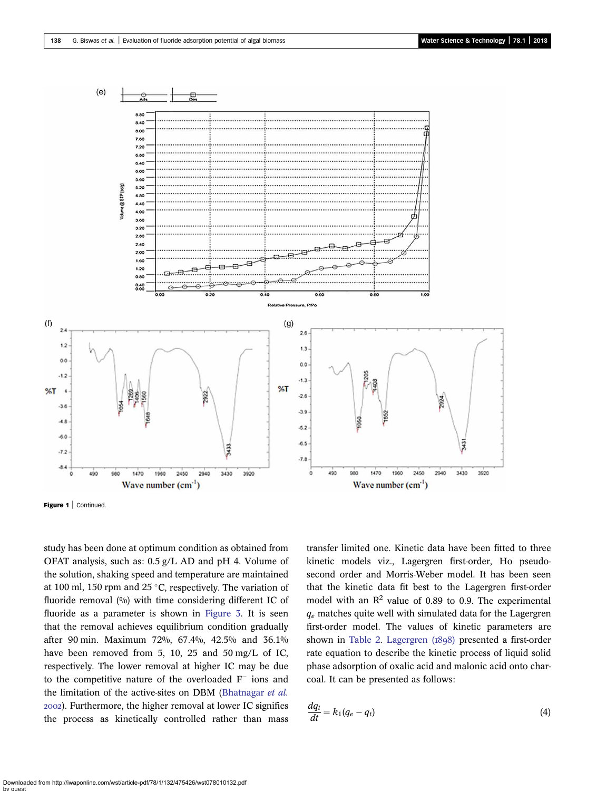

Figure 1 | Continued.

study has been done at optimum condition as obtained from OFAT analysis, such as: 0.5 g/L AD and pH 4. Volume of the solution, shaking speed and temperature are maintained at 100 ml, 150 rpm and 25 °C, respectively. The variation of fluoride removal (%) with time considering different IC of fluoride as a parameter is shown in [Figure 3](#page-7-0). It is seen that the removal achieves equilibrium condition gradually after 90 min. Maximum 72%, 67.4%, 42.5% and 36.1% have been removed from 5, 10, 25 and 50 mg/L of IC, respectively. The lower removal at higher IC may be due to the competitive nature of the overloaded  $F^-$  ions and the limitation of the active-sites on DBM ([Bhatnagar](#page-13-0) et al. ). Furthermore, the higher removal at lower IC signifies the process as kinetically controlled rather than mass transfer limited one. Kinetic data have been fitted to three kinetic models viz., Lagergren first-order, Ho pseudosecond order and Morris-Weber model. It has been seen that the kinetic data fit best to the Lagergren first-order model with an  $\mathbb{R}^2$  value of 0.89 to 0.9. The experimental  $q_e$  matches quite well with simulated data for the Lagergren first-order model. The values of kinetic parameters are shown in [Table 2](#page-8-0). Lagergren  $(1898)$  presented a first-order rate equation to describe the kinetic process of liquid solid phase adsorption of oxalic acid and malonic acid onto charcoal. It can be presented as follows:

$$
\frac{dq_t}{dt} = k_1(q_e - q_t) \tag{4}
$$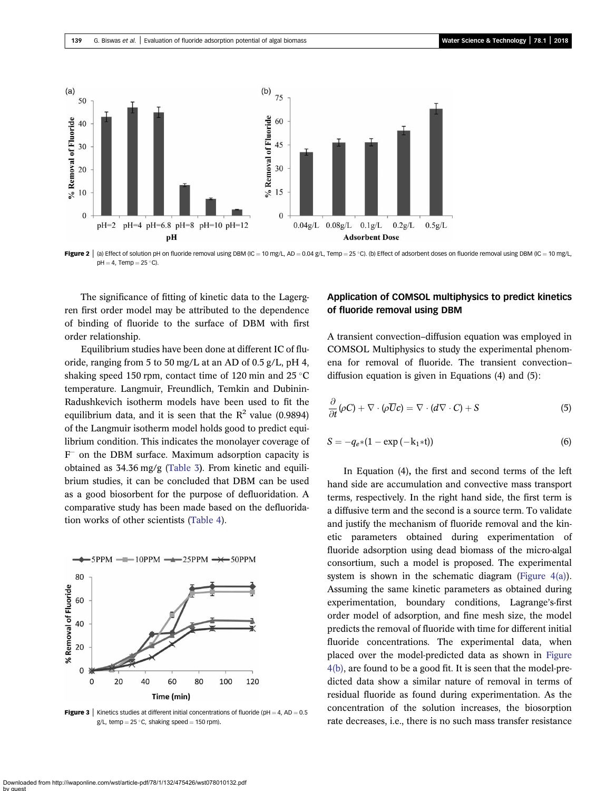<span id="page-7-0"></span>

Figure 2 | (a) Effect of solution pH on fluoride removal using DBM (IC = 10 mg/L, AD = 0.04 g/L, Temp = 25 °C). (b) Effect of adsorbent doses on fluoride removal using DBM (IC = 10 mg/L,  $pH = 4$ , Temp = 25 °C).

The significance of fitting of kinetic data to the Lagergren first order model may be attributed to the dependence of binding of fluoride to the surface of DBM with first order relationship.

Equilibrium studies have been done at different IC of fluoride, ranging from 5 to 50 mg/L at an AD of 0.5 g/L, pH 4, shaking speed 150 rpm, contact time of 120 min and 25  $\degree$ C temperature. Langmuir, Freundlich, Temkin and Dubinin-Radushkevich isotherm models have been used to fit the equilibrium data, and it is seen that the  $R^2$  value (0.9894) of the Langmuir isotherm model holds good to predict equilibrium condition. This indicates the monolayer coverage of  $F^-$  on the DBM surface. Maximum adsorption capacity is obtained as 34.36 mg/g ([Table 3](#page-8-0)). From kinetic and equilibrium studies, it can be concluded that DBM can be used as a good biosorbent for the purpose of defluoridation. A comparative study has been made based on the defluoridation works of other scientists ([Table 4](#page-8-0)).



**Figure 3** | Kinetics studies at different initial concentrations of fluoride (pH = 4, AD = 0.5 g/L, temp =  $25$  °C, shaking speed = 150 rpm).

# Application of COMSOL multiphysics to predict kinetics of fluoride removal using DBM

A transient convection–diffusion equation was employed in COMSOL Multiphysics to study the experimental phenomena for removal of fluoride. The transient convection– diffusion equation is given in Equations (4) and (5):

$$
\frac{\partial}{\partial t}(\rho C) + \nabla \cdot (\rho \overline{U}c) = \nabla \cdot (d\nabla \cdot C) + S \tag{5}
$$

$$
S = -q_{e^*}(1 - \exp(-k_1 * t))
$$
 (6)

In Equation (4), the first and second terms of the left hand side are accumulation and convective mass transport terms, respectively. In the right hand side, the first term is a diffusive term and the second is a source term. To validate and justify the mechanism of fluoride removal and the kinetic parameters obtained during experimentation of fluoride adsorption using dead biomass of the micro-algal consortium, such a model is proposed. The experimental system is shown in the schematic diagram (Figure  $4(a)$ ). Assuming the same kinetic parameters as obtained during experimentation, boundary conditions, Lagrange's-first order model of adsorption, and fine mesh size, the model predicts the removal of fluoride with time for different initial fluoride concentrations. The experimental data, when placed over the model-predicted data as shown in [Figure](#page-9-0) [4\(b\)](#page-9-0), are found to be a good fit. It is seen that the model-predicted data show a similar nature of removal in terms of residual fluoride as found during experimentation. As the concentration of the solution increases, the biosorption rate decreases, i.e., there is no such mass transfer resistance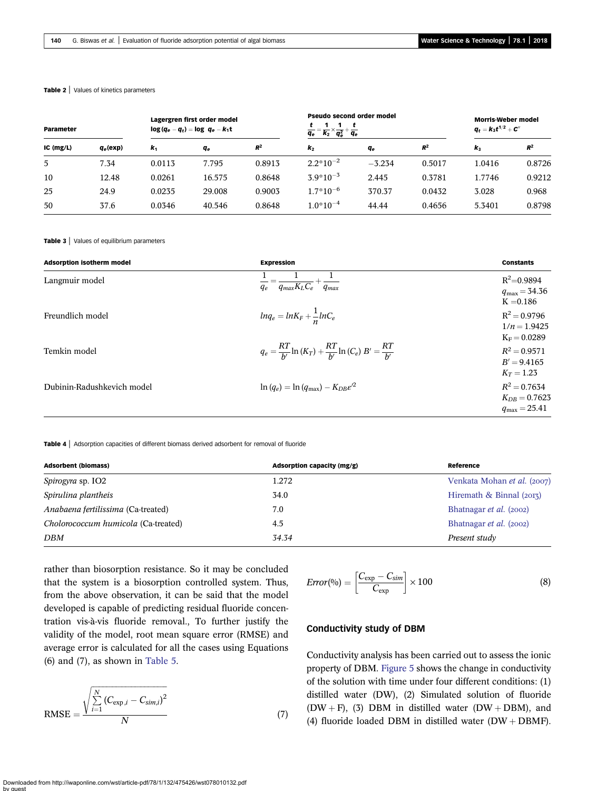#### <span id="page-8-0"></span>Table 2 | Values of kinetics parameters

| Parameter   |             | Lagergren first order model<br>$log(q_e - q_t) = log q_e - k_1 t$ |                |        | Pseudo second order model<br>$=\frac{1}{k_2}\times\frac{1}{q_e^2}$<br>$q_e$<br>аe |                       |        | <b>Morris-Weber model</b><br>$q_t = k_3 t^{1/2} + C''$ |        |
|-------------|-------------|-------------------------------------------------------------------|----------------|--------|-----------------------------------------------------------------------------------|-----------------------|--------|--------------------------------------------------------|--------|
| $IC$ (mg/L) | $q_e$ (exp) | $\mathbf{k}_1$                                                    | q <sub>е</sub> | $R^2$  | $\mathbf{k}_2$                                                                    | <b>q</b> <sub>e</sub> | $R^2$  | $\mathbf{k}_3$                                         | $R^2$  |
| 5           | 7.34        | 0.0113                                                            | 7.795          | 0.8913 | $2.2*10^{-2}$                                                                     | $-3.234$              | 0.5017 | 1.0416                                                 | 0.8726 |
| 10          | 12.48       | 0.0261                                                            | 16.575         | 0.8648 | $3.9*10^{-3}$                                                                     | 2.445                 | 0.3781 | 1.7746                                                 | 0.9212 |
| 25          | 24.9        | 0.0235                                                            | 29.008         | 0.9003 | $1.7*10^{-6}$                                                                     | 370.37                | 0.0432 | 3.028                                                  | 0.968  |
| 50          | 37.6        | 0.0346                                                            | 40.546         | 0.8648 | $1.0*10^{-4}$                                                                     | 44.44                 | 0.4656 | 5.3401                                                 | 0.8798 |

#### Table 3 | Values of equilibrium parameters

| <b>Adsorption isotherm model</b>                                                               | <b>Expression</b>                                         | <b>Constants</b>                                                |
|------------------------------------------------------------------------------------------------|-----------------------------------------------------------|-----------------------------------------------------------------|
| Langmuir model                                                                                 | $=\frac{1}{q_{max}K_{L}C_{e}}+\frac{1}{q_{max}}$<br>$q_e$ | $R^2 = 0.9894$<br>$q_{\rm max} = 34.36$<br>$K = 0.186$          |
| Freundlich model                                                                               | $lnq_e = lnK_F + \frac{1}{n}lnC_e$                        | $R^2 = 0.9796$<br>$1/n = 1.9425$<br>$K_F = 0.0289$              |
| $q_e = \frac{RT}{b'} \ln{(K_T)} + \frac{RT}{b'} \ln{(C_e)} B' = \frac{RT}{b'}$<br>Temkin model | $R^2 = 0.9571$<br>$B' = 9.4165$<br>$K_T = 1.23$           |                                                                 |
| Dubinin-Radushkevich model                                                                     | $\ln (q_e) = \ln (q_{\rm max}) - K_{DB} \varepsilon^2$    | $R^2 = 0.7634$<br>$K_{DR} = 0.7623$<br>$q_{\text{max}} = 25.41$ |

Table 4 | Adsorption capacities of different biomass derived adsorbent for removal of fluoride

| <b>Adsorbent (biomass)</b>          | Adsorption capacity (mg/g) | Reference                   |
|-------------------------------------|----------------------------|-----------------------------|
| <i>Spirogyra</i> sp. IO2            | 1.272                      | Venkata Mohan et al. (2007) |
| Spirulina plantheis                 | 34.0                       | Hiremath & Binnal $(2013)$  |
| Anabaena fertilissima (Ca-treated)  | 7.0                        | Bhatnagar et al. (2002)     |
| Cholorococcum humicola (Ca-treated) | 4.5                        | Bhatnagar et al. (2002)     |
| DBM                                 | 34.34                      | Present study               |

rather than biosorption resistance. So it may be concluded that the system is a biosorption controlled system. Thus, from the above observation, it can be said that the model developed is capable of predicting residual fluoride concentration vis-à-vis fluoride removal., To further justify the validity of the model, root mean square error (RMSE) and average error is calculated for all the cases using Equations (6) and (7), as shown in [Table 5](#page-9-0).

RMSE = 
$$
\frac{\sqrt{\sum_{i=1}^{N} (C_{\exp,i} - C_{sim,i})^2}}{N}
$$
 (7)

$$
Error(96) = \left[\frac{C_{\exp} - C_{\sin}}{C_{\exp}}\right] \times 100\tag{8}
$$

#### Conductivity study of DBM

Conductivity analysis has been carried out to assess the ionic property of DBM. [Figure 5](#page-9-0) shows the change in conductivity of the solution with time under four different conditions: (1) distilled water (DW), (2) Simulated solution of fluoride  $(DW + F)$ , (3) DBM in distilled water  $(DW + DBM)$ , and (4) fluoride loaded DBM in distilled water  $(DW + DBMF)$ .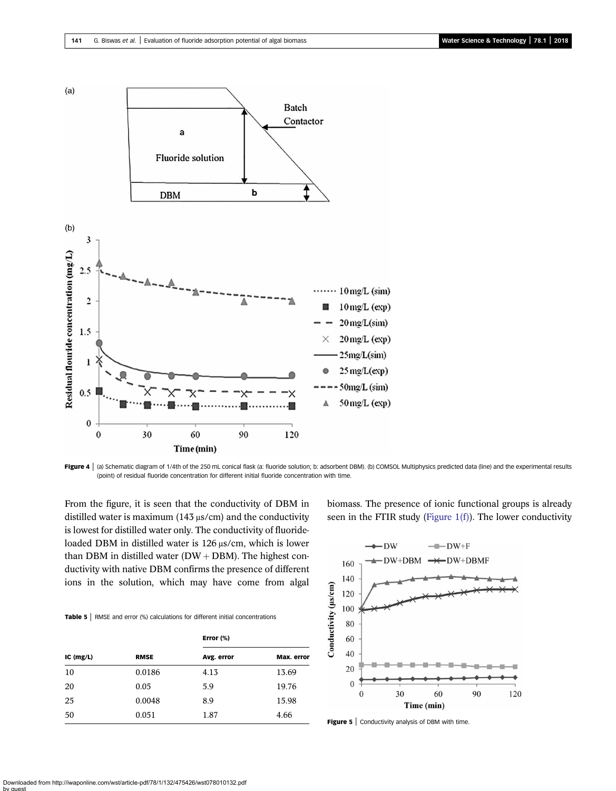<span id="page-9-0"></span>



From the figure, it is seen that the conductivity of DBM in distilled water is maximum (143 μs/cm) and the conductivity is lowest for distilled water only. The conductivity of fluorideloaded DBM in distilled water is 126 μs/cm, which is lower than DBM in distilled water  $(DW + DBM)$ . The highest conductivity with native DBM confirms the presence of different ions in the solution, which may have come from algal

Table 5 | RMSE and error (%) calculations for different initial concentrations

|             |             | Error (%)  |            |  |  |
|-------------|-------------|------------|------------|--|--|
| $IC$ (mg/L) | <b>RMSE</b> | Avg. error | Max. error |  |  |
| 10          | 0.0186      | 4.13       | 13.69      |  |  |
| 20          | 0.05        | 5.9        | 19.76      |  |  |
| 25          | 0.0048      | 8.9        | 15.98      |  |  |
| 50          | 0.051       | 1.87       | 4.66       |  |  |

biomass. The presence of ionic functional groups is already seen in the FTIR study (Figure  $1(f)$ ). The lower conductivity



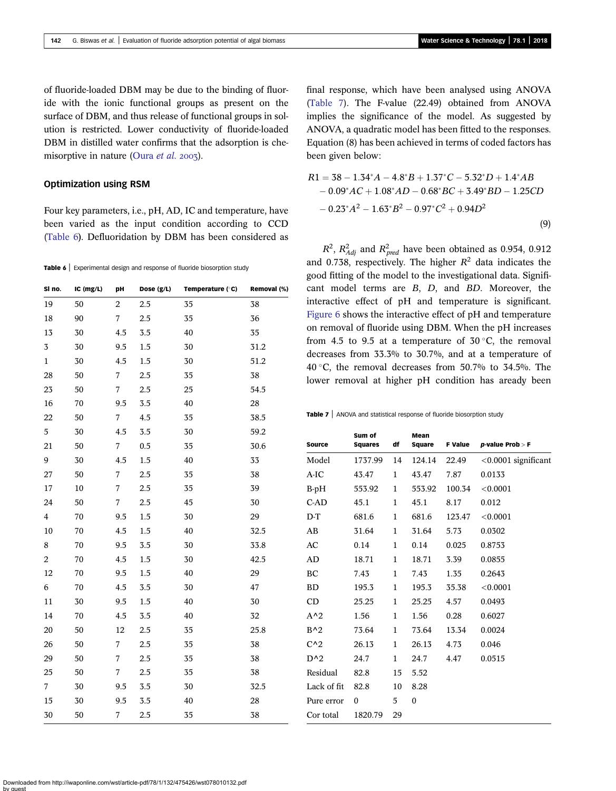of fluoride-loaded DBM may be due to the binding of fluoride with the ionic functional groups as present on the surface of DBM, and thus release of functional groups in solution is restricted. Lower conductivity of fluoride-loaded DBM in distilled water confirms that the adsorption is che-misorptive in nature [\(Oura](#page-14-0) et al. 2003).

#### Optimization using RSM

Four key parameters, i.e., pH, AD, IC and temperature, have been varied as the input condition according to CCD (Table 6). Defluoridation by DBM has been considered as

Table 6 | Experimental design and response of fluoride biosorption study

| SI no.                  | IC (mg/L) | pH               | Dose (g/L) | Temperature (°C) | Removal (%) |
|-------------------------|-----------|------------------|------------|------------------|-------------|
| 19                      | 50        | $\boldsymbol{2}$ | $2.5\,$    | 35               | 38          |
| 18                      | 90        | 7                | 2.5        | 35               | 36          |
| 13                      | 30        | 4.5              | 3.5        | 40               | 35          |
| $\mathbf 3$             | 30        | 9.5              | 1.5        | 30               | 31.2        |
| $\mathbf{1}$            | 30        | 4.5              | 1.5        | 30               | 51.2        |
| 28                      | 50        | $\overline{7}$   | 2.5        | 35               | 38          |
| 23                      | 50        | 7                | 2.5        | 25               | 54.5        |
| 16                      | 70        | 9.5              | 3.5        | 40               | 28          |
| 22                      | 50        | 7                | 4.5        | 35               | 38.5        |
| $\mathbf 5$             | 30        | 4.5              | 3.5        | 30               | 59.2        |
| 21                      | 50        | $\boldsymbol{7}$ | 0.5        | 35               | 30.6        |
| 9                       | 30        | 4.5              | 1.5        | 40               | 33          |
| 27                      | 50        | 7                | 2.5        | 35               | 38          |
| 17                      | 10        | 7                | 2.5        | 35               | 39          |
| 24                      | 50        | 7                | 2.5        | 45               | 30          |
| $\overline{\mathbf{4}}$ | 70        | 9.5              | 1.5        | 30               | 29          |
| 10                      | 70        | 4.5              | 1.5        | 40               | 32.5        |
| 8                       | 70        | 9.5              | 3.5        | 30               | 33.8        |
| $\boldsymbol{2}$        | 70        | 4.5              | 1.5        | 30               | 42.5        |
| 12                      | 70        | 9.5              | 1.5        | 40               | 29          |
| $\,6\,$                 | 70        | $4.5\,$          | 3.5        | 30               | 47          |
| $11\,$                  | 30        | 9.5              | 1.5        | 40               | 30          |
| 14                      | 70        | 4.5              | 3.5        | 40               | 32          |
| 20                      | 50        | 12               | 2.5        | 35               | 25.8        |
| 26                      | 50        | 7                | 2.5        | 35               | 38          |
| 29                      | 50        | 7                | 2.5        | 35               | 38          |
| 25                      | 50        | 7                | 2.5        | 35               | 38          |
| $\overline{7}$          | 30        | 9.5              | 3.5        | 30               | 32.5        |
| 15                      | 30        | 9.5              | 3.5        | 40               | 28          |
| 30                      | 50        | 7                | 2.5        | 35               | 38          |

final response, which have been analysed using ANOVA (Table 7). The F-value (22.49) obtained from ANOVA implies the significance of the model. As suggested by ANOVA, a quadratic model has been fitted to the responses. Equation (8) has been achieved in terms of coded factors has been given below:

$$
R1 = 38 - 1.34^{*}A - 4.8^{*}B + 1.37^{*}C - 5.32^{*}D + 1.4^{*}AB - 0.09^{*}AC + 1.08^{*}AD - 0.68^{*}BC + 3.49^{*}BD - 1.25CD - 0.23^{*}A^{2} - 1.63^{*}B^{2} - 0.97^{*}C^{2} + 0.94D^{2}
$$
\n(9)

 $R^2$ ,  $R^2_{Adj}$  and  $R^2_{pred}$  have been obtained as 0.954, 0.912 and 0.738, respectively. The higher  $R^2$  data indicates the good fitting of the model to the investigational data. Signifit model terms are  $B$ ,  $D$ , and  $BD$ . Moreover, the ractive effect of pH and temperature is significant. are 6 shows the interactive effect of pH and temperature removal of fluoride using DBM. When the pH increases m 4.5 to 9.5 at a temperature of  $30^{\circ}$ C, the removal reases from  $33.3\%$  to  $30.7\%$ , and at a temperature of 40 C, the removal decreases from 50.7% to 34.5%. The lower removal at higher pH condition has aready been

 $e 7$  | ANOVA and statistical response of fluoride biosorption study

| <b>Source</b> | Sum of<br><b>Squares</b> | df           | Mean<br>Square | <b>F Value</b> | $p$ -value Prob > F    |
|---------------|--------------------------|--------------|----------------|----------------|------------------------|
| Model         | 1737.99                  | 14           | 124.14         | 22.49          | $< 0.0001$ significant |
| $A-IC$        | 43.47                    | 1            | 43.47          | 7.87           | 0.0133                 |
| $B-pH$        | 553.92                   | 1            | 553.92         | 100.34         | < 0.0001               |
| $C-AD$        | 45.1                     | 1            | 45.1           | 8.17           | 0.012                  |
| $D-T$         | 681.6                    | 1            | 681.6          | 123.47         | < 0.0001               |
| AB            | 31.64                    | 1            | 31.64          | 5.73           | 0.0302                 |
| AC            | 0.14                     | 1            | 0.14           | 0.025          | 0.8753                 |
| AD            | 18.71                    | 1            | 18.71          | 3.39           | 0.0855                 |
| BC            | 7.43                     | 1            | 7.43           | 1.35           | 0.2643                 |
| <b>BD</b>     | 195.3                    | 1            | 195.3          | 35.38          | < 0.0001               |
| CD            | 25.25                    | $\mathbf{1}$ | 25.25          | 4.57           | 0.0493                 |
| $A^2$         | 1.56                     | 1            | 1.56           | 0.28           | 0.6027                 |
| $B^2$         | 73.64                    | 1            | 73.64          | 13.34          | 0.0024                 |
| $C^{\wedge}2$ | 26.13                    | 1            | 26.13          | 4.73           | 0.046                  |
| $D^{\wedge}2$ | 24.7                     | 1            | 24.7           | 4.47           | 0.0515                 |
| Residual      | 82.8                     | 15           | 5.52           |                |                        |
| Lack of fit   | 82.8                     | 10           | 8.28           |                |                        |
| Pure error    | $\Omega$                 | 5            | $\theta$       |                |                        |
| Cor total     | 1820.79                  | 29           |                |                |                        |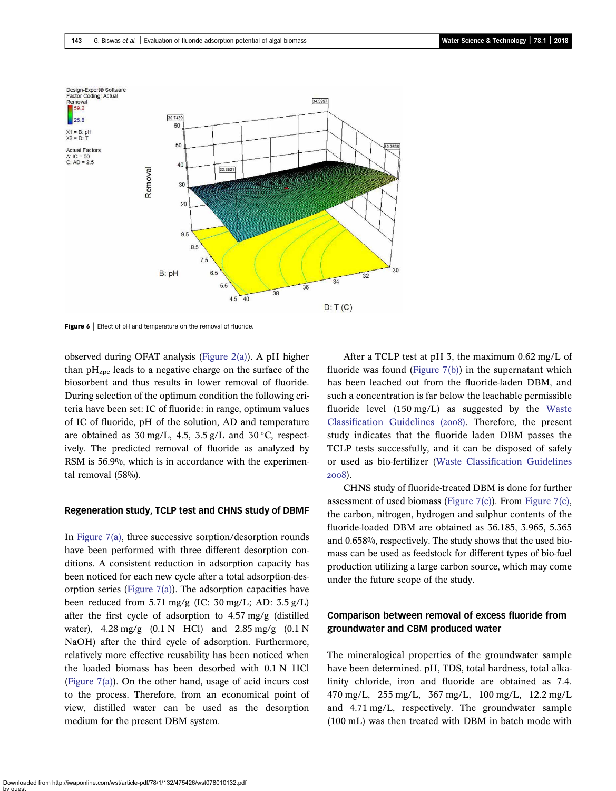<span id="page-11-0"></span>

Figure 6 | Effect of pH and temperature on the removal of fluoride.

observed during OFAT analysis ([Figure 2\(a\)\)](#page-7-0). A pH higher than  $pH<sub>zpc</sub>$  leads to a negative charge on the surface of the biosorbent and thus results in lower removal of fluoride. During selection of the optimum condition the following criteria have been set: IC of fluoride: in range, optimum values of IC of fluoride, pH of the solution, AD and temperature are obtained as  $30 \text{ mg/L}$ ,  $4.5$ ,  $3.5 \text{ g/L}$  and  $30 \degree \text{C}$ , respectively. The predicted removal of fluoride as analyzed by RSM is 56.9%, which is in accordance with the experimental removal (58%).

#### Regeneration study, TCLP test and CHNS study of DBMF

In [Figure 7\(a\)](#page-12-0), three successive sorption/desorption rounds have been performed with three different desorption conditions. A consistent reduction in adsorption capacity has been noticed for each new cycle after a total adsorption-desorption series (Figure  $7(a)$ ). The adsorption capacities have been reduced from 5.71 mg/g (IC: 30 mg/L; AD: 3.5 g/L) after the first cycle of adsorption to 4.57 mg/g (distilled water), 4.28 mg/g (0.1 N HCl) and 2.85 mg/g (0.1 N NaOH) after the third cycle of adsorption. Furthermore, relatively more effective reusability has been noticed when the loaded biomass has been desorbed with 0.1 N HCl (Figure  $7(a)$ ). On the other hand, usage of acid incurs cost to the process. Therefore, from an economical point of view, distilled water can be used as the desorption medium for the present DBM system.

After a TCLP test at pH 3, the maximum 0.62 mg/L of fluoride was found ([Figure 7\(b\)\)](#page-12-0) in the supernatant which has been leached out from the fluoride-laden DBM, and such a concentration is far below the leachable permissible fluoride level (150 mg/L) as suggested by the [Waste](#page-14-0) Classifi[cation Guidelines \(](#page-14-0)2008). Therefore, the present study indicates that the fluoride laden DBM passes the TCLP tests successfully, and it can be disposed of safely or used as bio-fertilizer (Waste Classifi[cation Guidelines](#page-14-0) 2008).

CHNS study of fluoride-treated DBM is done for further assessment of used biomass (Figure  $7(c)$ ). From Figure  $7(c)$ , the carbon, nitrogen, hydrogen and sulphur contents of the fluoride-loaded DBM are obtained as 36.185, 3.965, 5.365 and 0.658%, respectively. The study shows that the used biomass can be used as feedstock for different types of bio-fuel production utilizing a large carbon source, which may come under the future scope of the study.

# Comparison between removal of excess fluoride from groundwater and CBM produced water

The mineralogical properties of the groundwater sample have been determined. pH, TDS, total hardness, total alkalinity chloride, iron and fluoride are obtained as 7.4. 470 mg/L, 255 mg/L, 367 mg/L, 100 mg/L, 12.2 mg/L and 4.71 mg/L, respectively. The groundwater sample (100 mL) was then treated with DBM in batch mode with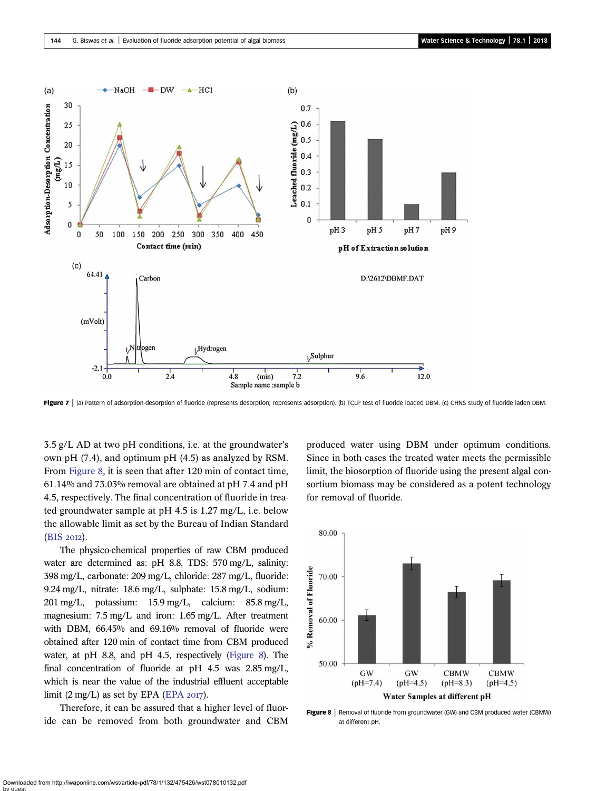<span id="page-12-0"></span>

Figure 7 | (a) Pattern of adsorption-desorption of fluoride (represents desorption; represents adsorption). (b) TCLP test of fluoride loaded DBM. (c) CHNS study of fluoride laden DBM.

3.5 g/L AD at two pH conditions, i.e. at the groundwater's own pH (7.4), and optimum pH (4.5) as analyzed by RSM. From Figure 8, it is seen that after 120 min of contact time, 61.14% and 73.03% removal are obtained at pH 7.4 and pH 4.5, respectively. The final concentration of fluoride in treated groundwater sample at pH 4.5 is 1.27 mg/L, i.e. below the allowable limit as set by the Bureau of Indian Standard (BIS 2012).

The physico-chemical properties of raw CBM produced water are determined as: pH 8.8, TDS: 570 mg/L, salinity: 398 mg/L, carbonate: 209 mg/L, chloride: 287 mg/L, fluoride: 9.24 mg/L, nitrate: 18.6 mg/L, sulphate: 15.8 mg/L, sodium: 201 mg/L, potassium: 15.9 mg/L, calcium: 85.8 mg/L, magnesium: 7.5 mg/L and iron: 1.65 mg/L. After treatment with DBM, 66.45% and 69.16% removal of fluoride were obtained after 120 min of contact time from CBM produced water, at pH 8.8, and pH 4.5, respectively (Figure 8). The final concentration of fluoride at pH 4.5 was 2.85 mg/L, which is near the value of the industrial effluent acceptable limit  $(2 \text{ mg/L})$  as set by [EPA](#page-13-0) (EPA  $2017$ ).

Therefore, it can be assured that a higher level of fluoride can be removed from both groundwater and CBM produced water using DBM under optimum conditions. Since in both cases the treated water meets the permissible limit, the biosorption of fluoride using the present algal consortium biomass may be considered as a potent technology for removal of fluoride.



Figure 8 | Removal of fluoride from groundwater (GW) and CBM produced water (CBMW) at different pH.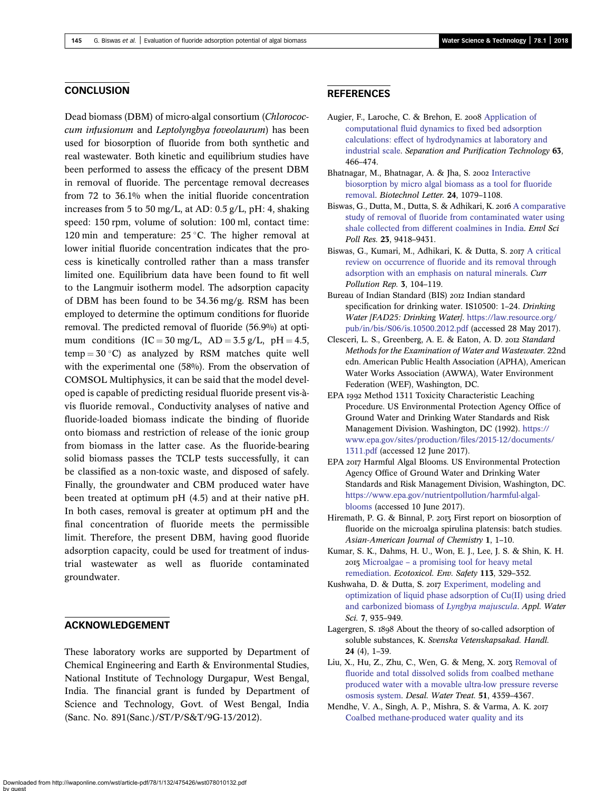#### <span id="page-13-0"></span>**CONCLUSION**

Dead biomass (DBM) of micro-algal consortium (Chlorococcum infusionum and Leptolyngbya foveolaurum) has been used for biosorption of fluoride from both synthetic and real wastewater. Both kinetic and equilibrium studies have been performed to assess the efficacy of the present DBM in removal of fluoride. The percentage removal decreases from 72 to 36.1% when the initial fluoride concentration increases from 5 to 50 mg/L, at AD: 0.5 g/L, pH: 4, shaking speed: 150 rpm, volume of solution: 100 ml, contact time: 120 min and temperature:  $25^{\circ}$ C. The higher removal at lower initial fluoride concentration indicates that the process is kinetically controlled rather than a mass transfer limited one. Equilibrium data have been found to fit well to the Langmuir isotherm model. The adsorption capacity of DBM has been found to be 34.36 mg/g. RSM has been employed to determine the optimum conditions for fluoride removal. The predicted removal of fluoride (56.9%) at optimum conditions  $(IC = 30 \text{ mg/L}, AD = 3.5 \text{ g/L}, pH = 4.5,$  $temp = 30 °C$  as analyzed by RSM matches quite well with the experimental one (58%). From the observation of COMSOL Multiphysics, it can be said that the model developed is capable of predicting residual fluoride present vis-àvis fluoride removal., Conductivity analyses of native and fluoride-loaded biomass indicate the binding of fluoride onto biomass and restriction of release of the ionic group from biomass in the latter case. As the fluoride-bearing solid biomass passes the TCLP tests successfully, it can be classified as a non-toxic waste, and disposed of safely. Finally, the groundwater and CBM produced water have been treated at optimum pH (4.5) and at their native pH. In both cases, removal is greater at optimum pH and the final concentration of fluoride meets the permissible limit. Therefore, the present DBM, having good fluoride adsorption capacity, could be used for treatment of industrial wastewater as well as fluoride contaminated groundwater.

#### ACKNOWLEDGEMENT

These laboratory works are supported by Department of Chemical Engineering and Earth & Environmental Studies, National Institute of Technology Durgapur, West Bengal, India. The financial grant is funded by Department of Science and Technology, Govt. of West Bengal, India (Sanc. No. 891(Sanc.)/ST/P/S&T/9G-13/2012).

#### **REFERENCES**

- Augier, F., Laroche, C. & Brehon, E. 2008 [Application of](http://dx.doi.org/10.1016/j.seppur.2008.06.007) [computational fluid dynamics to fixed bed adsorption](http://dx.doi.org/10.1016/j.seppur.2008.06.007) [calculations: effect of hydrodynamics at laboratory and](http://dx.doi.org/10.1016/j.seppur.2008.06.007) [industrial scale](http://dx.doi.org/10.1016/j.seppur.2008.06.007). Separation and Purification Technology 63, 466–474.
- Bhatnagar, M., Bhatnagar, A. & Jha, S. 2002 [Interactive](http://dx.doi.org/10.1023/A:1016086631017) [biosorption by micro algal biomass as a tool for fluoride](http://dx.doi.org/10.1023/A:1016086631017) [removal](http://dx.doi.org/10.1023/A:1016086631017). Biotechnol Letter. 24, 1079–1108.
- Biswas, G., Dutta, M., Dutta, S. & Adhikari, K. 2016 [A comparative](http://dx.doi.org/10.1007/s11356-015-5815-6) [study of removal of fluoride from contaminated water using](http://dx.doi.org/10.1007/s11356-015-5815-6) [shale collected from different coalmines in India.](http://dx.doi.org/10.1007/s11356-015-5815-6) Envl Sci Poll Res. 23, 9418–9431.
- Biswas, G., Kumari, M., Adhikari, K. & Dutta, S. 2017 [A critical](http://dx.doi.org/10.1007/s40726-017-0054-8) [review on occurrence of fluoride and its removal through](http://dx.doi.org/10.1007/s40726-017-0054-8) [adsorption with an emphasis on natural minerals](http://dx.doi.org/10.1007/s40726-017-0054-8). Curr Pollution Rep. 3, 104–119.
- Bureau of Indian Standard (BIS) 2012 Indian standard specification for drinking water. IS10500: 1–24. Drinking Water [FAD25: Drinking Water]. [https://law.resource.org/](https://law.resource.org/pub/in/bis/S06/is.10500.2012.pdf) [pub/in/bis/S06/is.10500.2012.pdf](https://law.resource.org/pub/in/bis/S06/is.10500.2012.pdf) (accessed 28 May 2017).
- Clesceri, L. S., Greenberg, A. E. & Eaton, A. D. 2012 Standard Methods for the Examination of Water and Wastewater. 22nd edn. American Public Health Association (APHA), American Water Works Association (AWWA), Water Environment Federation (WEF), Washington, DC.
- EPA 1992 Method 1311 Toxicity Characteristic Leaching Procedure. US Environmental Protection Agency Office of Ground Water and Drinking Water Standards and Risk Management Division. Washington, DC (1992). [https://](https://www.epa.gov/sites/production/files/2015-12/documents/1311.pdf) [www.epa.gov/sites/production/files/2015-12/documents/](https://www.epa.gov/sites/production/files/2015-12/documents/1311.pdf) [1311.pdf](https://www.epa.gov/sites/production/files/2015-12/documents/1311.pdf) (accessed 12 June 2017).
- EPA 2017 Harmful Algal Blooms. US Environmental Protection Agency Office of Ground Water and Drinking Water Standards and Risk Management Division, Washington, DC. [https://www.epa.gov/nutrientpollution/harmful-algal](https://www.epa.gov/nutrientpollution/harmful-algal-blooms)[blooms](https://www.epa.gov/nutrientpollution/harmful-algal-blooms) (accessed 10 June 2017).
- Hiremath, P. G. & Binnal, P. 2013 First report on biosorption of fluoride on the microalga spirulina platensis: batch studies. Asian-American Journal of Chemistry 1, 1–10.
- Kumar, S. K., Dahms, H. U., Won, E. J., Lee, J. S. & Shin, K. H. Microalgae – [a promising tool for heavy metal](http://dx.doi.org/10.1016/j.ecoenv.2014.12.019) [remediation](http://dx.doi.org/10.1016/j.ecoenv.2014.12.019). Ecotoxicol. Env. Safety 113, 329–352.
- Kushwaha, D. & Dutta, S. 2017 [Experiment, modeling and](http://dx.doi.org/10.1007/s13201-015-0304-0) [optimization of liquid phase adsorption of Cu\(II\) using dried](http://dx.doi.org/10.1007/s13201-015-0304-0) [and carbonized biomass of](http://dx.doi.org/10.1007/s13201-015-0304-0) Lyngbya majuscula. Appl. Water Sci. 7, 935–949.
- Lagergren, S. 1898 About the theory of so-called adsorption of soluble substances, K. Svenska Vetenskapsakad. Handl. 24 (4), 1–39.
- Liu, X., Hu, Z., Zhu, C., Wen, G. & Meng, X. 2013 [Removal of](http://dx.doi.org/10.1080/19443994.2012.742853) [fluoride and total dissolved solids from coalbed methane](http://dx.doi.org/10.1080/19443994.2012.742853) [produced water with a movable ultra-low pressure reverse](http://dx.doi.org/10.1080/19443994.2012.742853) [osmosis system](http://dx.doi.org/10.1080/19443994.2012.742853). Desal. Water Treat. 51, 4359–4367.
- Mendhe, V. A., Singh, A. P., Mishra, S. & Varma, A. K. [Coalbed methane-produced water quality and its](http://dx.doi.org/10.1007/s13201-015-0326-7)